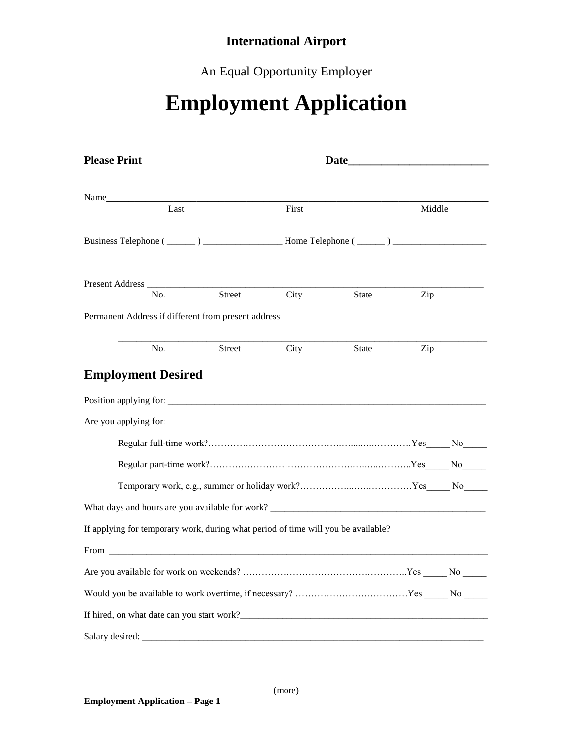# **International Airport**

An Equal Opportunity Employer

# **Employment Application**

| <b>Please Print</b>                                                                                                                                                                                                            | Date and the same state of the state of the state of the state of the state of the state of the state of the state of the state of the state of the state of the state of the state of the state of the state of the state of |       |              |        |  |
|--------------------------------------------------------------------------------------------------------------------------------------------------------------------------------------------------------------------------------|-------------------------------------------------------------------------------------------------------------------------------------------------------------------------------------------------------------------------------|-------|--------------|--------|--|
| Name                                                                                                                                                                                                                           |                                                                                                                                                                                                                               |       |              |        |  |
| Last                                                                                                                                                                                                                           |                                                                                                                                                                                                                               | First |              | Middle |  |
|                                                                                                                                                                                                                                |                                                                                                                                                                                                                               |       |              |        |  |
|                                                                                                                                                                                                                                |                                                                                                                                                                                                                               |       |              |        |  |
| No.                                                                                                                                                                                                                            | Street                                                                                                                                                                                                                        | City  | <b>State</b> | Zip    |  |
| Permanent Address if different from present address                                                                                                                                                                            |                                                                                                                                                                                                                               |       |              |        |  |
| No.                                                                                                                                                                                                                            | <b>Street</b>                                                                                                                                                                                                                 | City  | <b>State</b> | Zip    |  |
| <b>Employment Desired</b>                                                                                                                                                                                                      |                                                                                                                                                                                                                               |       |              |        |  |
|                                                                                                                                                                                                                                |                                                                                                                                                                                                                               |       |              |        |  |
|                                                                                                                                                                                                                                |                                                                                                                                                                                                                               |       |              |        |  |
| Are you applying for:                                                                                                                                                                                                          |                                                                                                                                                                                                                               |       |              |        |  |
|                                                                                                                                                                                                                                |                                                                                                                                                                                                                               |       |              |        |  |
|                                                                                                                                                                                                                                |                                                                                                                                                                                                                               |       |              |        |  |
|                                                                                                                                                                                                                                |                                                                                                                                                                                                                               |       |              |        |  |
|                                                                                                                                                                                                                                |                                                                                                                                                                                                                               |       |              |        |  |
| If applying for temporary work, during what period of time will you be available?                                                                                                                                              |                                                                                                                                                                                                                               |       |              |        |  |
| From the contract of the contract of the contract of the contract of the contract of the contract of the contract of the contract of the contract of the contract of the contract of the contract of the contract of the contr |                                                                                                                                                                                                                               |       |              |        |  |
|                                                                                                                                                                                                                                |                                                                                                                                                                                                                               |       |              |        |  |
|                                                                                                                                                                                                                                |                                                                                                                                                                                                                               |       |              |        |  |
|                                                                                                                                                                                                                                |                                                                                                                                                                                                                               |       |              |        |  |
| Salary desired:                                                                                                                                                                                                                |                                                                                                                                                                                                                               |       |              |        |  |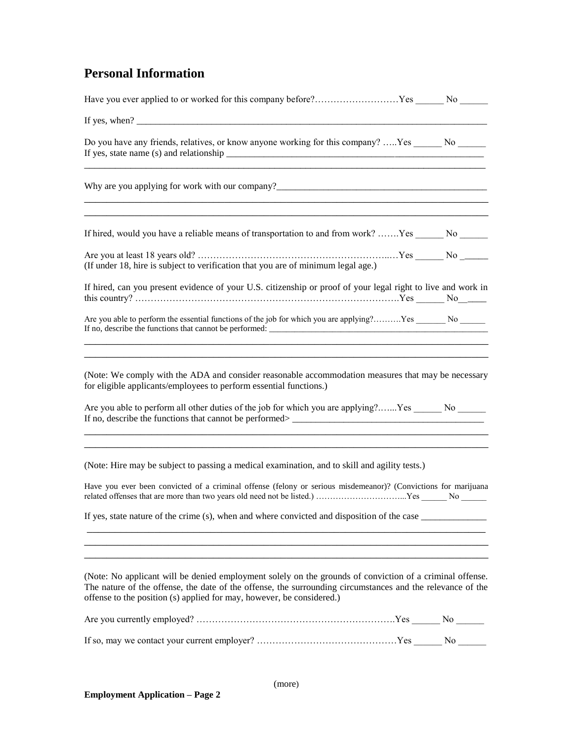## **Personal Information**

| If yes, when? $\qquad \qquad$                                                                                                                                                                                                                                                                   |  |
|-------------------------------------------------------------------------------------------------------------------------------------------------------------------------------------------------------------------------------------------------------------------------------------------------|--|
| Do you have any friends, relatives, or know anyone working for this company?  Yes _______ No ______                                                                                                                                                                                             |  |
|                                                                                                                                                                                                                                                                                                 |  |
| If hired, would you have a reliable means of transportation to and from work? Yes ______ No ______                                                                                                                                                                                              |  |
| (If under 18, hire is subject to verification that you are of minimum legal age.)                                                                                                                                                                                                               |  |
| If hired, can you present evidence of your U.S. citizenship or proof of your legal right to live and work in                                                                                                                                                                                    |  |
| If no, describe the functions that cannot be performed:                                                                                                                                                                                                                                         |  |
| (Note: We comply with the ADA and consider reasonable accommodation measures that may be necessary<br>for eligible applicants/employees to perform essential functions.)<br>Are you able to perform all other duties of the job for which you are applying? Yes ______ No ______                |  |
| (Note: Hire may be subject to passing a medical examination, and to skill and agility tests.)                                                                                                                                                                                                   |  |
| Have you ever been convicted of a criminal offense (felony or serious misdemeanor)? (Convictions for marijuana                                                                                                                                                                                  |  |
| If yes, state nature of the crime (s), when and where convicted and disposition of the case ______________                                                                                                                                                                                      |  |
| (Note: No applicant will be denied employment solely on the grounds of conviction of a criminal offense.<br>The nature of the offense, the date of the offense, the surrounding circumstances and the relevance of the<br>offense to the position (s) applied for may, however, be considered.) |  |
|                                                                                                                                                                                                                                                                                                 |  |
|                                                                                                                                                                                                                                                                                                 |  |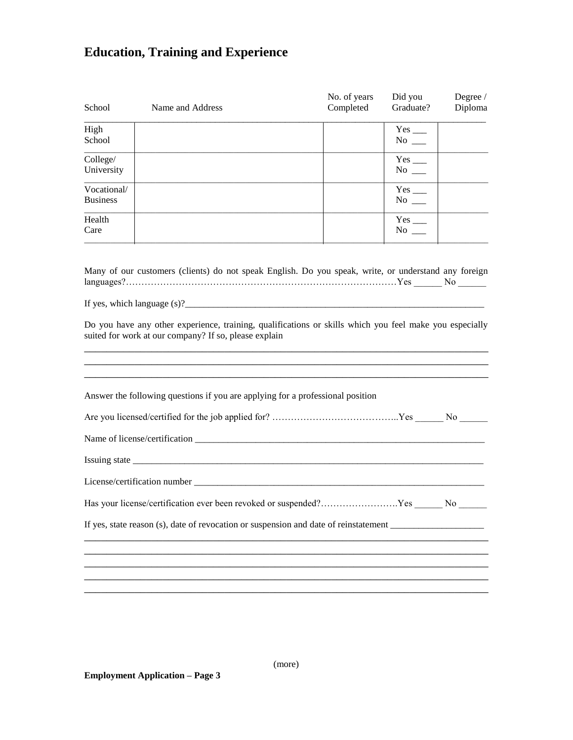# **Education, Training and Experience**

| School                         | Name and Address                                                                                                                                                                                                                                                                                           | No. of years<br>Completed | Did you<br>Graduate?                        | Degree /<br>Diploma |
|--------------------------------|------------------------------------------------------------------------------------------------------------------------------------------------------------------------------------------------------------------------------------------------------------------------------------------------------------|---------------------------|---------------------------------------------|---------------------|
| High<br>School                 |                                                                                                                                                                                                                                                                                                            |                           | $Yes$ <sub>___</sub><br>$No \_$             |                     |
| College/<br>University         |                                                                                                                                                                                                                                                                                                            |                           | $Yes$ <sub>__</sub><br>$No \_\_$            |                     |
| Vocational/<br><b>Business</b> |                                                                                                                                                                                                                                                                                                            |                           | $Yes$ <sub>___</sub><br>$No$ <sub>---</sub> |                     |
| Health<br>Care                 |                                                                                                                                                                                                                                                                                                            |                           | $Yes$ <sub>—</sub><br>$\mathrm{No}$ __      |                     |
|                                | Many of our customers (clients) do not speak English. Do you speak, write, or understand any foreign<br>If yes, which language $(s)$ ?<br>Do you have any other experience, training, qualifications or skills which you feel make you especially<br>suited for work at our company? If so, please explain |                           |                                             |                     |
|                                | Answer the following questions if you are applying for a professional position                                                                                                                                                                                                                             |                           |                                             |                     |
|                                |                                                                                                                                                                                                                                                                                                            |                           |                                             |                     |
|                                |                                                                                                                                                                                                                                                                                                            |                           |                                             |                     |
|                                |                                                                                                                                                                                                                                                                                                            |                           |                                             |                     |
|                                |                                                                                                                                                                                                                                                                                                            |                           |                                             |                     |
|                                | Has your license/certification ever been revoked or suspended?Yes No                                                                                                                                                                                                                                       |                           |                                             |                     |
|                                | If yes, state reason (s), date of revocation or suspension and date of reinstatement                                                                                                                                                                                                                       |                           |                                             |                     |
|                                |                                                                                                                                                                                                                                                                                                            |                           |                                             |                     |
|                                |                                                                                                                                                                                                                                                                                                            |                           |                                             |                     |

(more)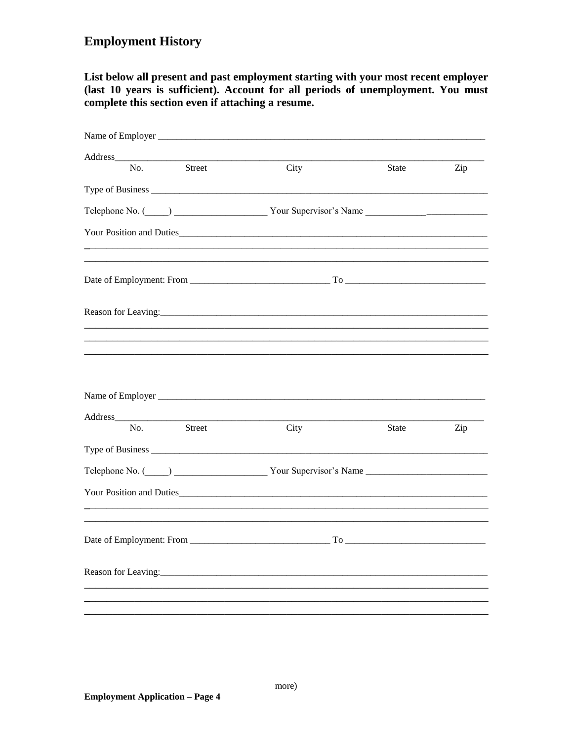#### **Employment History**

List below all present and past employment starting with your most recent employer (last 10 years is sufficient). Account for all periods of unemployment. You must complete this section even if attaching a resume.

| Name of Employer ________ |               |                                                                      |              |     |
|---------------------------|---------------|----------------------------------------------------------------------|--------------|-----|
| Address_<br>No.           | Street        | City                                                                 | <b>State</b> | Zip |
|                           |               |                                                                      |              |     |
|                           |               |                                                                      |              |     |
|                           |               | Telephone No. (Comparison of North Comparison Vour Supervisor's Name |              |     |
|                           |               |                                                                      |              |     |
|                           |               |                                                                      |              |     |
|                           |               |                                                                      |              |     |
| No.                       | <b>Street</b> | City                                                                 | <b>State</b> | Zip |
|                           |               |                                                                      |              |     |
|                           |               | Telephone No. (Comparison of North Comparison Vour Supervisor's Name |              |     |
|                           |               |                                                                      |              |     |
|                           |               |                                                                      |              |     |
|                           |               |                                                                      |              |     |
|                           |               |                                                                      |              |     |
|                           |               |                                                                      |              |     |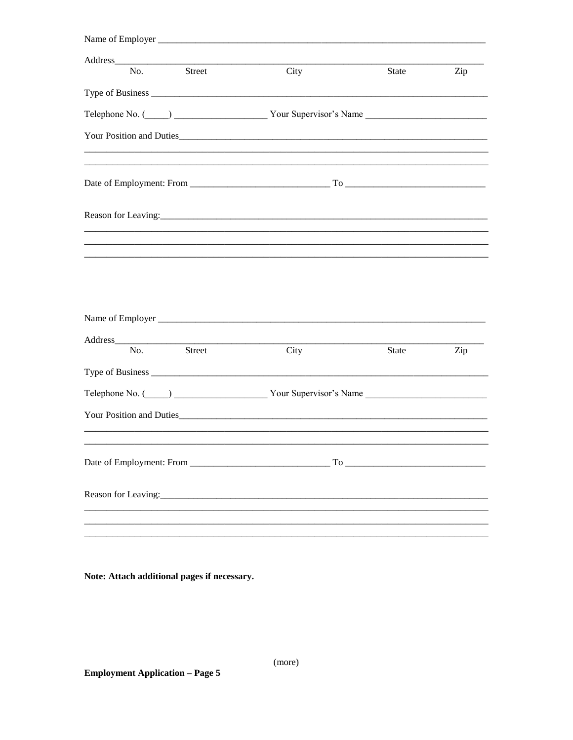| Name of Employer                                                                                                                                                                                                               |      |              |     |
|--------------------------------------------------------------------------------------------------------------------------------------------------------------------------------------------------------------------------------|------|--------------|-----|
| Address Andreas Address Address Address Andreas Address Address Address Address Andres Address Address Address A<br><b>Street</b><br>No.                                                                                       | City | State        | Zip |
|                                                                                                                                                                                                                                |      |              |     |
|                                                                                                                                                                                                                                |      |              |     |
| Telephone No. (Comparison in Transmitted No. (Comparison in Transmitted No. (Comparison in Transmitted No. 1)                                                                                                                  |      |              |     |
|                                                                                                                                                                                                                                |      |              |     |
|                                                                                                                                                                                                                                |      |              |     |
|                                                                                                                                                                                                                                |      |              |     |
|                                                                                                                                                                                                                                |      |              |     |
|                                                                                                                                                                                                                                |      |              |     |
|                                                                                                                                                                                                                                |      |              |     |
|                                                                                                                                                                                                                                |      |              |     |
| No.<br><b>Street</b>                                                                                                                                                                                                           | City | <b>State</b> | Zip |
|                                                                                                                                                                                                                                |      |              |     |
| Telephone No. (Champion Communication Communication Communication Communication Communication Communication Communication Communication Communication Communication Communication Communication Communication Communication Co |      |              |     |
|                                                                                                                                                                                                                                |      |              |     |
|                                                                                                                                                                                                                                |      |              |     |
|                                                                                                                                                                                                                                |      |              |     |
|                                                                                                                                                                                                                                |      |              |     |
|                                                                                                                                                                                                                                |      |              |     |
|                                                                                                                                                                                                                                |      |              |     |

Note: Attach additional pages if necessary.

(more)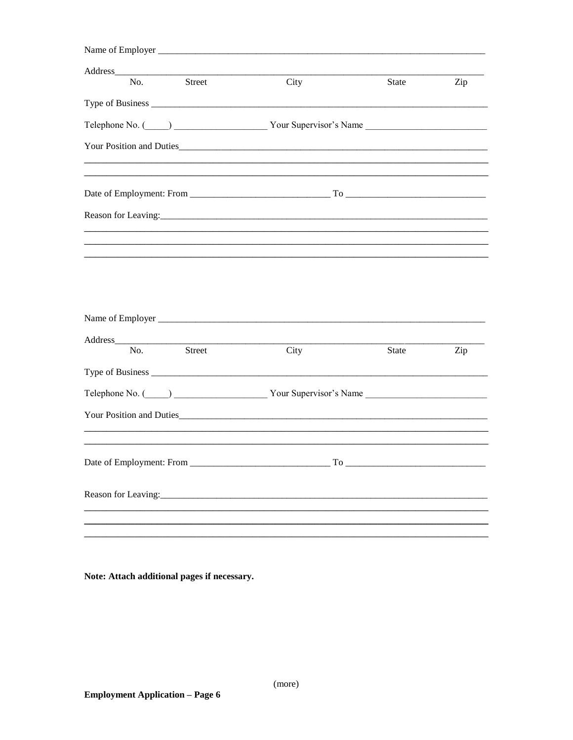| Name of Employer                 |                                                                                                                                                                                                                                     |              |     |
|----------------------------------|-------------------------------------------------------------------------------------------------------------------------------------------------------------------------------------------------------------------------------------|--------------|-----|
| Street<br>No.                    | City                                                                                                                                                                                                                                | <b>State</b> | Zip |
|                                  |                                                                                                                                                                                                                                     |              |     |
|                                  | Telephone No. (Comparison in Transmitted Vour Supervisor's Name                                                                                                                                                                     |              |     |
| Your Position and Duties         |                                                                                                                                                                                                                                     |              |     |
|                                  |                                                                                                                                                                                                                                     |              |     |
|                                  |                                                                                                                                                                                                                                     |              |     |
|                                  |                                                                                                                                                                                                                                     |              |     |
|                                  |                                                                                                                                                                                                                                     |              |     |
|                                  |                                                                                                                                                                                                                                     |              |     |
|                                  |                                                                                                                                                                                                                                     |              |     |
| No.<br><b>Street</b>             | City                                                                                                                                                                                                                                | State        | Zip |
|                                  |                                                                                                                                                                                                                                     |              |     |
|                                  | Telephone No. (Comparison in Transmitted No. (Comparison in Transmitted No. (Comparison in Transmitted No. 1)                                                                                                                       |              |     |
|                                  | Your Position and Duties <b>Example 2018</b> 2019 12:00:00 The Second State of the Second State of the Second State of the Second State of the Second State of the Second State of the Second State of the Second State of the Seco |              |     |
| Date of Employment: From _______ | To                                                                                                                                                                                                                                  |              |     |
|                                  |                                                                                                                                                                                                                                     |              |     |
|                                  |                                                                                                                                                                                                                                     |              |     |
|                                  |                                                                                                                                                                                                                                     |              |     |

Note: Attach additional pages if necessary.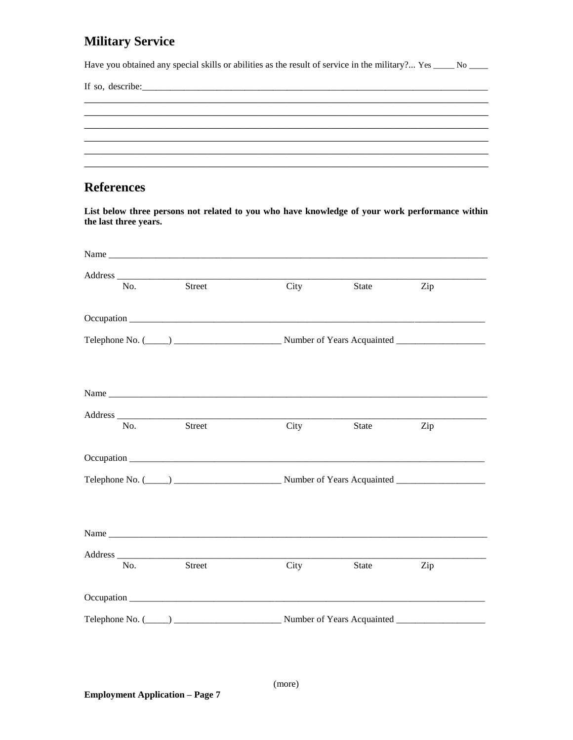### **Military Service**

Have you obtained any special skills or abilities as the result of service in the military?... Yes \_\_\_\_ No \_\_\_

#### **References**

List below three persons not related to you who have knowledge of your work performance within the last three years.

| No. | Street                                                                                                                                                                                                                               | City | State | Zip |  |
|-----|--------------------------------------------------------------------------------------------------------------------------------------------------------------------------------------------------------------------------------------|------|-------|-----|--|
|     |                                                                                                                                                                                                                                      |      |       |     |  |
|     | Telephone No. (Compared to the Compared Compared Telephone No. (Compared Telephone No. (Compared Telephone No                                                                                                                        |      |       |     |  |
|     |                                                                                                                                                                                                                                      |      |       |     |  |
|     |                                                                                                                                                                                                                                      |      |       |     |  |
|     |                                                                                                                                                                                                                                      |      |       |     |  |
| No. | Street                                                                                                                                                                                                                               | City | State | Zip |  |
|     | Occupation                                                                                                                                                                                                                           |      |       |     |  |
|     |                                                                                                                                                                                                                                      |      |       |     |  |
|     |                                                                                                                                                                                                                                      |      |       |     |  |
|     |                                                                                                                                                                                                                                      |      |       |     |  |
|     |                                                                                                                                                                                                                                      |      |       |     |  |
| No. | <b>Street</b>                                                                                                                                                                                                                        | City | State | Zip |  |
|     | Occupation <b>contract the contract of the contract of the contract of the contract of the contract of the contract of the contract of the contract of the contract of the contract of the contract of the contract of the contr</b> |      |       |     |  |
|     | Telephone No. (Compared to the Compared Compared Telephone No. (Compared to the Number of Years Acquainted                                                                                                                           |      |       |     |  |